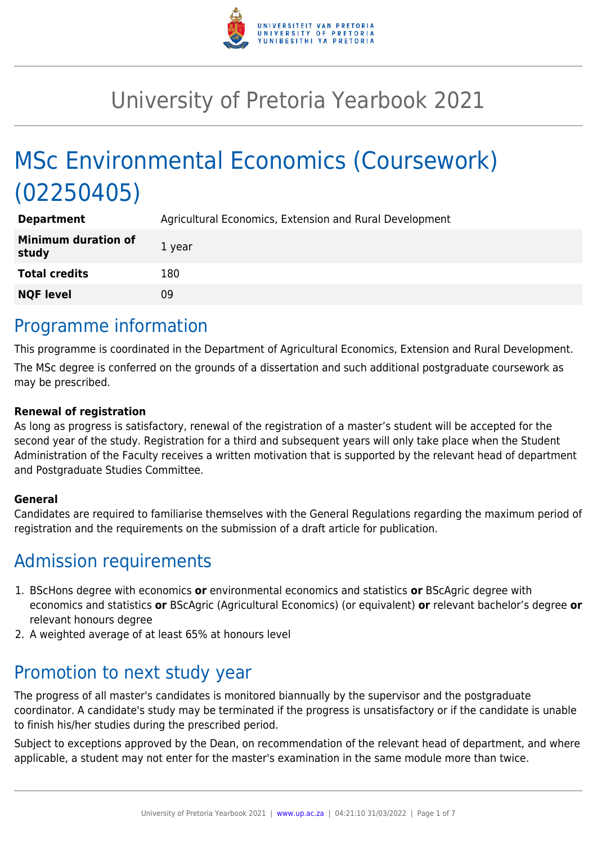

# University of Pretoria Yearbook 2021

# MSc Environmental Economics (Coursework) (02250405)

| <b>Department</b>                   | Agricultural Economics, Extension and Rural Development |
|-------------------------------------|---------------------------------------------------------|
| <b>Minimum duration of</b><br>study | 1 year                                                  |
| <b>Total credits</b>                | 180                                                     |
| <b>NQF level</b>                    | 09                                                      |

## Programme information

This programme is coordinated in the Department of Agricultural Economics, Extension and Rural Development. The MSc degree is conferred on the grounds of a dissertation and such additional postgraduate coursework as may be prescribed.

#### **Renewal of registration**

As long as progress is satisfactory, renewal of the registration of a master's student will be accepted for the second year of the study. Registration for a third and subsequent years will only take place when the Student Administration of the Faculty receives a written motivation that is supported by the relevant head of department and Postgraduate Studies Committee.

#### **General**

Candidates are required to familiarise themselves with the General Regulations regarding the maximum period of registration and the requirements on the submission of a draft article for publication.

## Admission requirements

- 1. BScHons degree with economics **or** environmental economics and statistics **or** BScAgric degree with economics and statistics **or** BScAgric (Agricultural Economics) (or equivalent) **or** relevant bachelor's degree **or** relevant honours degree
- 2. A weighted average of at least 65% at honours level

## Promotion to next study year

The progress of all master's candidates is monitored biannually by the supervisor and the postgraduate coordinator. A candidate's study may be terminated if the progress is unsatisfactory or if the candidate is unable to finish his/her studies during the prescribed period.

Subject to exceptions approved by the Dean, on recommendation of the relevant head of department, and where applicable, a student may not enter for the master's examination in the same module more than twice.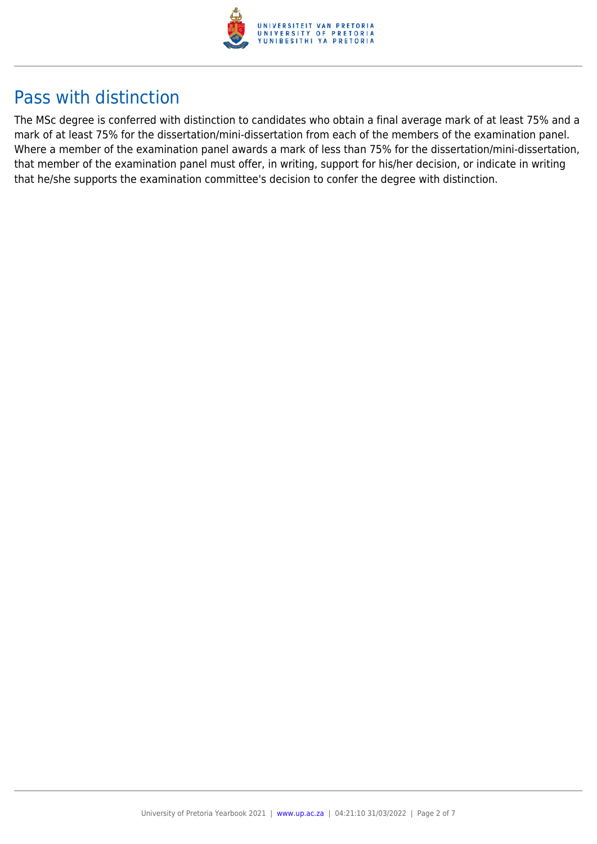

## Pass with distinction

The MSc degree is conferred with distinction to candidates who obtain a final average mark of at least 75% and a mark of at least 75% for the dissertation/mini-dissertation from each of the members of the examination panel. Where a member of the examination panel awards a mark of less than 75% for the dissertation/mini-dissertation, that member of the examination panel must offer, in writing, support for his/her decision, or indicate in writing that he/she supports the examination committee's decision to confer the degree with distinction.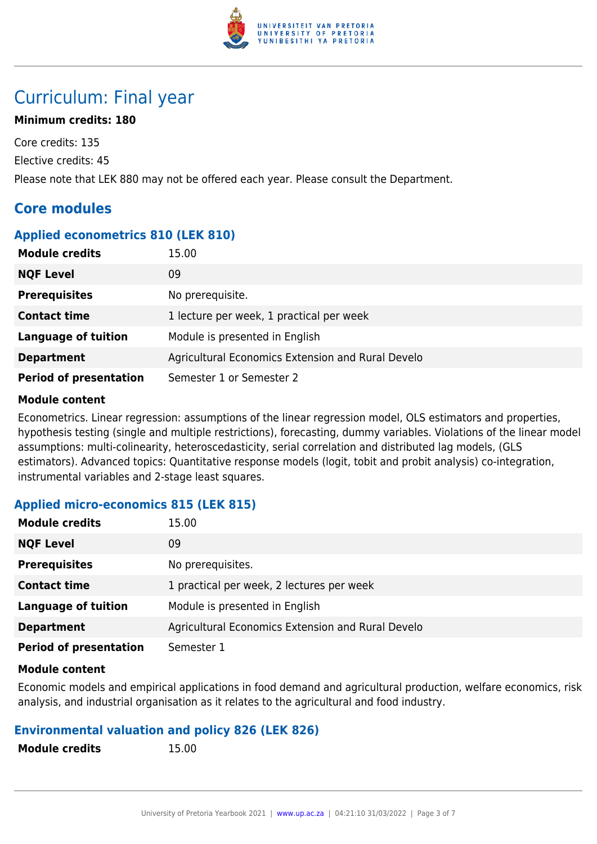

## Curriculum: Final year

#### **Minimum credits: 180**

Core credits: 135 Elective credits: 45 Please note that LEK 880 may not be offered each year. Please consult the Department.

### **Core modules**

#### **Applied econometrics 810 (LEK 810)**

| <b>Module credits</b>         | 15.00                                             |
|-------------------------------|---------------------------------------------------|
| <b>NQF Level</b>              | 09                                                |
| <b>Prerequisites</b>          | No prerequisite.                                  |
| <b>Contact time</b>           | 1 lecture per week, 1 practical per week          |
| <b>Language of tuition</b>    | Module is presented in English                    |
| <b>Department</b>             | Agricultural Economics Extension and Rural Develo |
| <b>Period of presentation</b> | Semester 1 or Semester 2                          |

#### **Module content**

Econometrics. Linear regression: assumptions of the linear regression model, OLS estimators and properties, hypothesis testing (single and multiple restrictions), forecasting, dummy variables. Violations of the linear model assumptions: multi-colinearity, heteroscedasticity, serial correlation and distributed lag models, (GLS estimators). Advanced topics: Quantitative response models (logit, tobit and probit analysis) co-integration, instrumental variables and 2-stage least squares.

#### **Applied micro-economics 815 (LEK 815)**

| <b>Module credits</b>         | 15.00                                             |
|-------------------------------|---------------------------------------------------|
| <b>NQF Level</b>              | 09                                                |
| <b>Prerequisites</b>          | No prerequisites.                                 |
| <b>Contact time</b>           | 1 practical per week, 2 lectures per week         |
| <b>Language of tuition</b>    | Module is presented in English                    |
| <b>Department</b>             | Agricultural Economics Extension and Rural Develo |
| <b>Period of presentation</b> | Semester 1                                        |

#### **Module content**

Economic models and empirical applications in food demand and agricultural production, welfare economics, risk analysis, and industrial organisation as it relates to the agricultural and food industry.

#### **Environmental valuation and policy 826 (LEK 826)**

| <b>Module credits</b> |  |
|-----------------------|--|
|-----------------------|--|

**Module credits** 15.00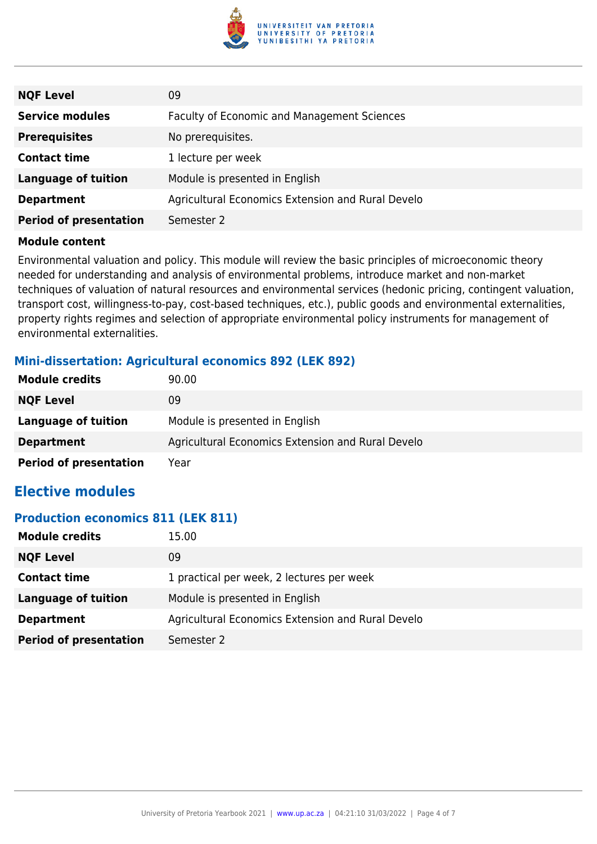

| <b>NQF Level</b>              | 09                                                 |
|-------------------------------|----------------------------------------------------|
| <b>Service modules</b>        | <b>Faculty of Economic and Management Sciences</b> |
| <b>Prerequisites</b>          | No prerequisites.                                  |
| <b>Contact time</b>           | 1 lecture per week                                 |
| <b>Language of tuition</b>    | Module is presented in English                     |
| <b>Department</b>             | Agricultural Economics Extension and Rural Develo  |
| <b>Period of presentation</b> | Semester 2                                         |

Environmental valuation and policy. This module will review the basic principles of microeconomic theory needed for understanding and analysis of environmental problems, introduce market and non-market techniques of valuation of natural resources and environmental services (hedonic pricing, contingent valuation, transport cost, willingness-to-pay, cost-based techniques, etc.), public goods and environmental externalities, property rights regimes and selection of appropriate environmental policy instruments for management of environmental externalities.

#### **Mini-dissertation: Agricultural economics 892 (LEK 892)**

| <b>Module credits</b>         | 90.00                                             |
|-------------------------------|---------------------------------------------------|
| <b>NQF Level</b>              | 09                                                |
| Language of tuition           | Module is presented in English                    |
| <b>Department</b>             | Agricultural Economics Extension and Rural Develo |
| <b>Period of presentation</b> | Year                                              |

### **Elective modules**

#### **Production economics 811 (LEK 811)**

| <b>Module credits</b>         | 15.00                                             |
|-------------------------------|---------------------------------------------------|
| <b>NQF Level</b>              | 09                                                |
| <b>Contact time</b>           | 1 practical per week, 2 lectures per week         |
| Language of tuition           | Module is presented in English                    |
| <b>Department</b>             | Agricultural Economics Extension and Rural Develo |
| <b>Period of presentation</b> | Semester 2                                        |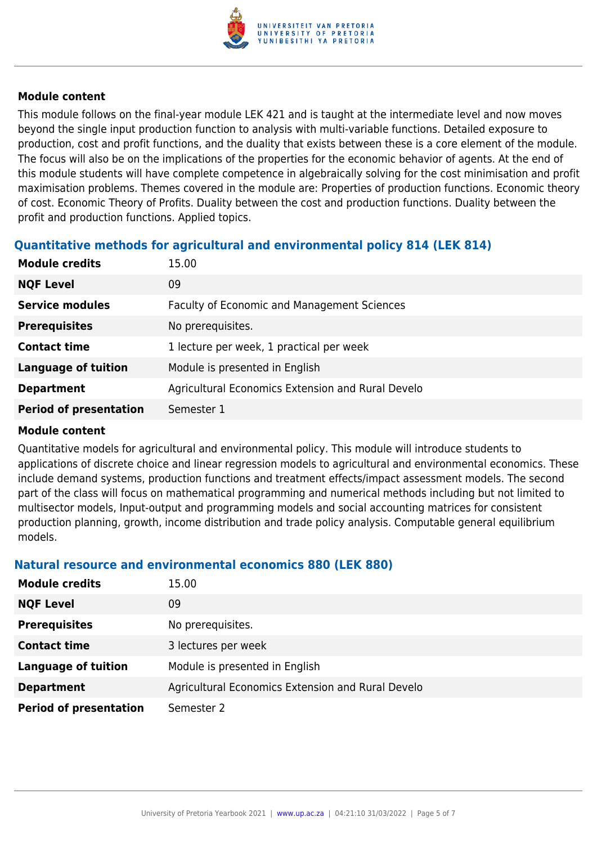

This module follows on the final-year module LEK 421 and is taught at the intermediate level and now moves beyond the single input production function to analysis with multi-variable functions. Detailed exposure to production, cost and profit functions, and the duality that exists between these is a core element of the module. The focus will also be on the implications of the properties for the economic behavior of agents. At the end of this module students will have complete competence in algebraically solving for the cost minimisation and profit maximisation problems. Themes covered in the module are: Properties of production functions. Economic theory of cost. Economic Theory of Profits. Duality between the cost and production functions. Duality between the profit and production functions. Applied topics.

#### **Quantitative methods for agricultural and environmental policy 814 (LEK 814)**

| <b>Module credits</b>         | 15.00                                              |
|-------------------------------|----------------------------------------------------|
| <b>NQF Level</b>              | 09                                                 |
| <b>Service modules</b>        | <b>Faculty of Economic and Management Sciences</b> |
| <b>Prerequisites</b>          | No prerequisites.                                  |
| <b>Contact time</b>           | 1 lecture per week, 1 practical per week           |
| <b>Language of tuition</b>    | Module is presented in English                     |
| <b>Department</b>             | Agricultural Economics Extension and Rural Develo  |
| <b>Period of presentation</b> | Semester 1                                         |

#### **Module content**

Quantitative models for agricultural and environmental policy. This module will introduce students to applications of discrete choice and linear regression models to agricultural and environmental economics. These include demand systems, production functions and treatment effects/impact assessment models. The second part of the class will focus on mathematical programming and numerical methods including but not limited to multisector models, Input-output and programming models and social accounting matrices for consistent production planning, growth, income distribution and trade policy analysis. Computable general equilibrium models.

#### **Natural resource and environmental economics 880 (LEK 880)**

| <b>Module credits</b>         | 15.00                                             |
|-------------------------------|---------------------------------------------------|
| <b>NQF Level</b>              | 09                                                |
| <b>Prerequisites</b>          | No prerequisites.                                 |
| <b>Contact time</b>           | 3 lectures per week                               |
| <b>Language of tuition</b>    | Module is presented in English                    |
| <b>Department</b>             | Agricultural Economics Extension and Rural Develo |
| <b>Period of presentation</b> | Semester 2                                        |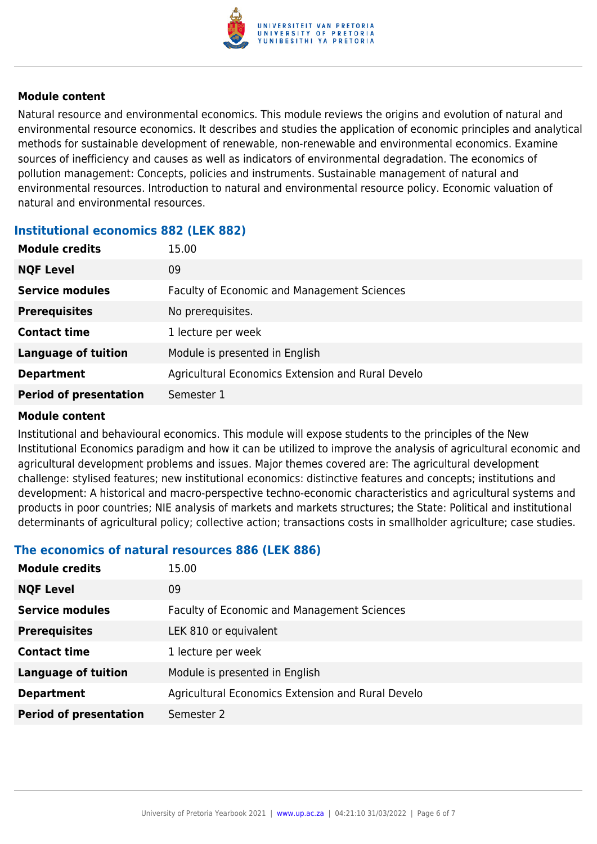

Natural resource and environmental economics. This module reviews the origins and evolution of natural and environmental resource economics. It describes and studies the application of economic principles and analytical methods for sustainable development of renewable, non-renewable and environmental economics. Examine sources of inefficiency and causes as well as indicators of environmental degradation. The economics of pollution management: Concepts, policies and instruments. Sustainable management of natural and environmental resources. Introduction to natural and environmental resource policy. Economic valuation of natural and environmental resources.

#### **Institutional economics 882 (LEK 882)**

| <b>Module credits</b>         | 15.00                                              |
|-------------------------------|----------------------------------------------------|
| <b>NQF Level</b>              | 09                                                 |
| <b>Service modules</b>        | <b>Faculty of Economic and Management Sciences</b> |
| <b>Prerequisites</b>          | No prerequisites.                                  |
| <b>Contact time</b>           | 1 lecture per week                                 |
| <b>Language of tuition</b>    | Module is presented in English                     |
| <b>Department</b>             | Agricultural Economics Extension and Rural Develo  |
| <b>Period of presentation</b> | Semester 1                                         |

#### **Module content**

Institutional and behavioural economics. This module will expose students to the principles of the New Institutional Economics paradigm and how it can be utilized to improve the analysis of agricultural economic and agricultural development problems and issues. Major themes covered are: The agricultural development challenge: stylised features; new institutional economics: distinctive features and concepts; institutions and development: A historical and macro-perspective techno-economic characteristics and agricultural systems and products in poor countries; NIE analysis of markets and markets structures; the State: Political and institutional determinants of agricultural policy; collective action; transactions costs in smallholder agriculture; case studies.

#### **The economics of natural resources 886 (LEK 886)**

| <b>Module credits</b>         | 15.00                                              |
|-------------------------------|----------------------------------------------------|
| <b>NQF Level</b>              | 09                                                 |
| <b>Service modules</b>        | <b>Faculty of Economic and Management Sciences</b> |
| <b>Prerequisites</b>          | LEK 810 or equivalent                              |
| <b>Contact time</b>           | 1 lecture per week                                 |
| <b>Language of tuition</b>    | Module is presented in English                     |
| <b>Department</b>             | Agricultural Economics Extension and Rural Develo  |
| <b>Period of presentation</b> | Semester 2                                         |